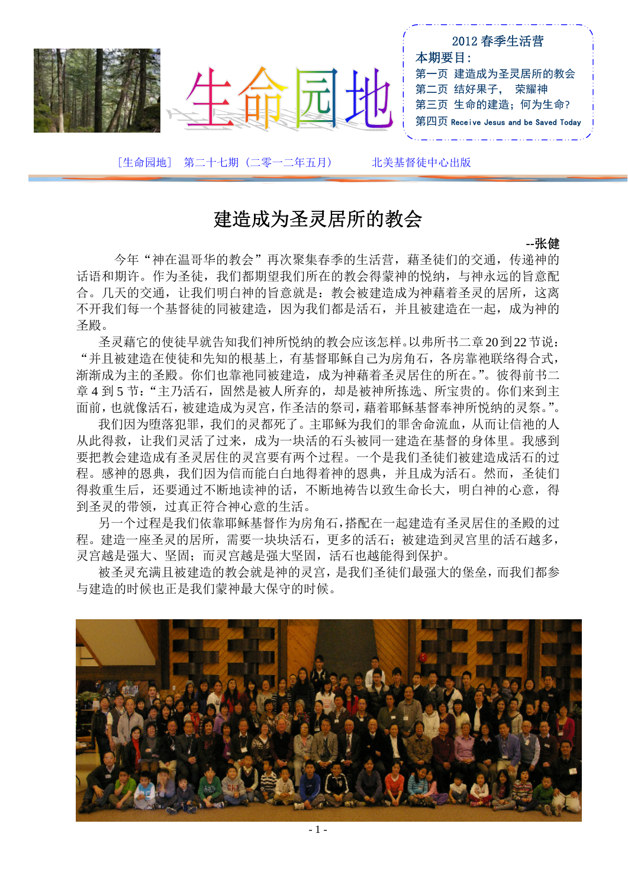|                        | 2012 春季生活营<br>本期要目:<br>第一页 建造成为圣灵居所的教会<br>第二页 结好果子, 荣耀神<br>第三页 生命的建造; 何为生命?<br>第四页 Receive Jesus and be Saved Today |
|------------------------|---------------------------------------------------------------------------------------------------------------------|
| [生命园地] 第二十七期 (二零一二年五月) | 北美基督徒中心出版                                                                                                           |

# 建造成为圣灵居所的教会

**--**张健

今年"神在温哥华的教会"再次聚集春季的生活营,藉圣徒们的交通,传递神的 话语和期许。作为圣徒,我们都期望我们所在的教会得蒙神的悦纳,与神永远的旨意配 合。几天的交通,让我们明白神的旨意就是:教会被建造成为神藉着圣灵的居所,这离 不开我们每一个基督徒的同被建造,因为我们都是活石,并且被建造在一起,成为神的 圣殿。

圣灵藉它的使徒早就告知我们神所悦纳的教会应该怎样。以弗所书二章20到22节说: "并且被建造在使徒和先知的根基上,有基督耶稣自己为房角石,各房靠祂联络得合式, 渐渐成为主的圣殿。你们也靠祂同被建造,成为神藉着圣灵居住的所在。"。彼得前书二 章 4 到 5 节: "主乃活石, 固然是被人所弃的, 却是被神所拣选、所宝贵的。你们来到主 面前,也就像活石,被建造成为灵宫,作圣洁的祭司,藉着耶稣基督奉神所悦纳的灵祭。"。

我们因为堕落犯罪,我们的灵都死了。主耶稣为我们的罪舍命流血,从而让信祂的人 从此得救,让我们灵活了过来,成为一块活的石头被同一建造在基督的身体里。我感到 要把教会建造成有圣灵居住的灵宫要有两个过程。一个是我们圣徒们被建造成活石的过 程。感神的恩典,我们因为信而能白白地得着神的恩典,并且成为活石。然而,圣徒们 得救重生后,还要通过不断地读神的话,不断地祷告以致生命长大,明白神的心意,得 到圣灵的带领,过真正符合神心意的生活。

另一个过程是我们依靠耶稣基督作为房角石,搭配在一起建造有圣灵居住的圣殿的过 程。建造一座圣灵的居所,需要一块块活石,更多的活石;被建造到灵宫里的活石越多, 灵宫越是强大、坚固;而灵宫越是强大坚固,活石也越能得到保护。

被圣灵充满且被建造的教会就是神的灵宫,是我们圣徒们最强大的堡垒,而我们都参 与建造的时候也正是我们蒙神最大保守的时候。

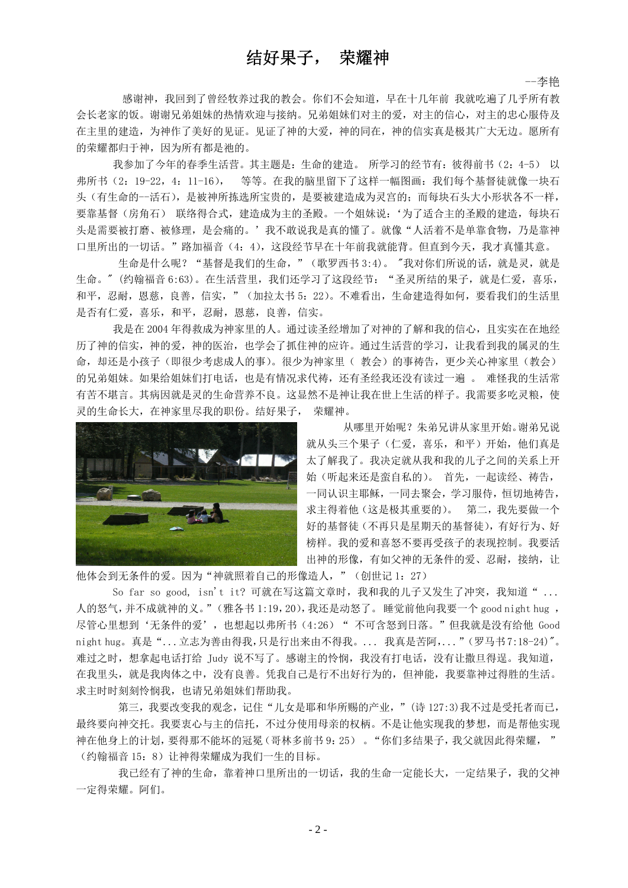## 结好果子, 荣耀神

--李艳

 感谢神,我回到了曾经牧养过我的教会。你们不会知道,早在十几年前 我就吃遍了几乎所有教 会长老家的饭。谢谢兄弟姐妹的热情欢迎与接纳。兄弟姐妹们对主的爱,对主的信心,对主的忠心服侍及 在主里的建造,为神作了美好的见证。见证了神的大爱,神的同在,神的信实真是极其广大无边。愿所有 的荣耀都归于神,因为所有都是祂的。

我参加了今年的春季生活营。其主题是:生命的建造。所学习的经节有:彼得前书(2:4-5) 以 弗所书(2:19-22,4:11-16), 等等。在我的脑里留下了这样一幅图画:我们每个基督徒就像一块石 头(有生命的--活石),是被神所拣选所宝贵的,是要被建造成为灵宫的;而每块石头大小形状各不一样, 要靠基督(房角石) 联络得合式,建造成为主的圣殿。一个姐妹说: '为了适合主的圣殿的建造,每块石 头是需要被打磨、被修理,是会痛的。'我不敢说我是真的懂了。就像"人活着不是单靠食物,乃是靠神 口里所出的一切话。"路加福音(4:4),这段经节早在十年前我就能背。但直到今天,我才真懂其意。

生命是什么呢?"基督是我们的生命,"(歌罗西书 3:4)。"我对你们所说的话,就是灵,就是 生命。"(约翰福音 6:63)。在生活营里,我们还学习了这段经节: "圣灵所结的果子,就是仁爱,喜乐, 和平,忍耐,恩慈,良善,信实,"(加拉太书 5:22)。不难看出, 生命建造得如何, 要看我们的生活里 是否有仁爱,喜乐,和平,忍耐,恩慈,良善,信实。

 我是在 2004 年得救成为神家里的人。通过读圣经增加了对神的了解和我的信心,且实实在在地经 历了神的信实,神的爱,神的医治,也学会了抓住神的应许。通过生活营的学习,让我看到我的属灵的生 命,却还是小孩子(即很少考虑成人的事)。很少为神家里( 教会)的事祷告,更少关心神家里(教会) 的兄弟姐妹。如果给姐妹们打电话,也是有情况求代祷,还有圣经我还没有读过一遍 。 难怪我的生活常 有苦不堪言。其病因就是灵的生命营养不良。这显然不是神让我在世上生活的样子。我需要多吃灵粮,使 灵的生命长大,在神家里尽我的职份。结好果子, 荣耀神。



 从哪里开始呢?朱弟兄讲从家里开始。谢弟兄说 就从头三个果子(仁爱,喜乐,和平)开始,他们真是 太了解我了。我决定就从我和我的儿子之间的关系上开 始(听起来还是蛮自私的)。 首先,一起读经、祷告, 一同认识主耶稣,一同去聚会,学习服侍,恒切地祷告, 求主得着他(这是极其重要的)。 第二,我先要做一个 好的基督徒(不再只是星期天的基督徒),有好行为、好 榜样。我的爱和喜怒不要再受孩子的表现控制。我要活 出神的形像,有如父神的无条件的爱、忍耐,接纳,让

他体会到无条件的爱。因为"神就照着自己的形像造人,"(创世记 1: 27)

So far so good, isn't it? 可就在写这篇文章时, 我和我的儿子又发生了冲突, 我知道" ... 人的怒气,并不成就神的义。"(雅各书 1:19,20),我还是动怒了。 睡觉前他向我要一个 good night hug , 尽管心里想到'无条件的爱', 也想起以弗所书(4:26)" 不可含怒到日落。"但我就是没有给他 Good night hug。 真是"...立志为善由得我,只是行出来由不得我。 ... 我真是苦阿,..."(罗马书 7:18-24)"。 难过之时,想拿起电话打给 Judy 说不写了。感谢主的怜悯,我没有打电话,没有让撒旦得逞。我知道, 在我里头,就是我肉体之中,没有良善。凭我自己是行不出好行为的,但神能,我要靠神过得胜的生活。 求主时时刻刻怜悯我,也请兄弟姐妹们帮助我。

第三,我要改变我的观念,记住"儿女是耶和华所赐的产业,"(诗 127:3)我不过是受托者而已, 最终要向神交托。我要衷心与主的信托,不过分使用母亲的权柄。不是让他实现我的梦想,而是帮他实现 神在他身上的计划,要得那不能坏的冠冕(哥林多前书 9:25) 。"你们多结果子,我父就因此得荣耀, " (约翰福音 15:8)让神得荣耀成为我们一生的目标。

 我已经有了神的生命,靠着神口里所出的一切话,我的生命一定能长大,一定结果子,我的父神 一定得荣耀。阿们。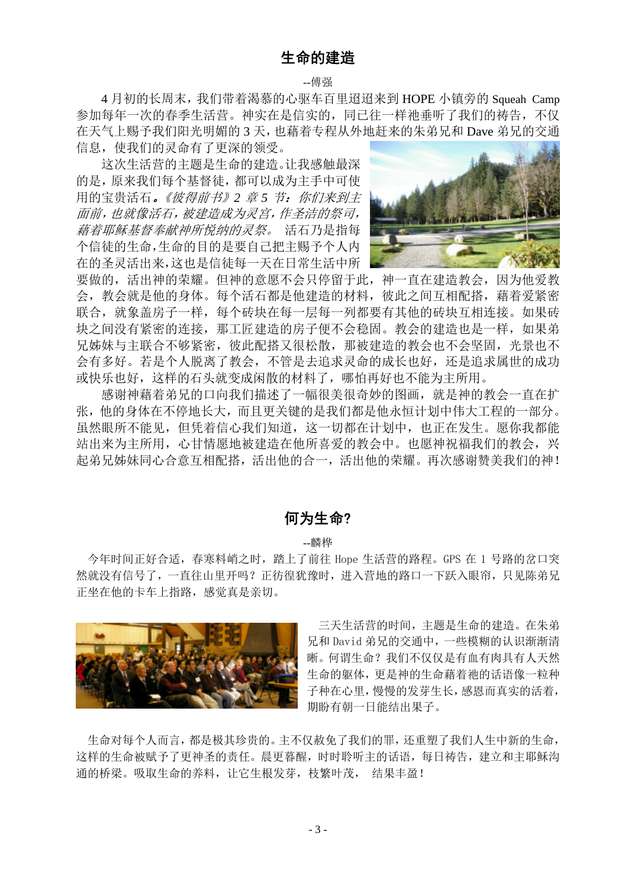### 生命的建造

#### --傅强

 4 月初的长周末,我们带着渴慕的心驱车百里迢迢来到 HOPE 小镇旁的 Squeah Camp 参加每年一次的春季生活营。神实在是信实的,同已往一样祂垂听了我们的祷告,不仅 在天气上赐予我们阳光明媚的 3 天,也藉着专程从外地赶来的朱弟兄和 Dave 弟兄的交通 信息,使我们的灵命有了更深的领受。

 这次生活营的主题是生命的建造。让我感触最深 的是,原来我们每个基督徒,都可以成为主手中可使 用的宝贵活石。《彼得前书》2章5节:你们来到主 面前,也就像活石,被建造成为灵宫,作圣洁的祭司, 藉着耶稣基督奉献神所悦纳的灵祭。 活石乃是指每 个信徒的生命,生命的目的是要自己把主赐予个人内 在的圣灵活出来,这也是信徒每一天在日常生活中所



要做的,活出神的荣耀。但神的意愿不会只停留于此,神一直在建造教会,因为他爱教 会,教会就是他的身体。每个活石都是他建造的材料,彼此之间互相配搭,藉着爱紧密 联合,就象盖房子一样,每个砖块在每一层每一列都要有其他的砖块互相连接。如果砖 块之间没有紧密的连接,那工匠建造的房子便不会稳固。教会的建造也是一样,如果弟 兄姊妹与主联合不够紧密,彼此配搭又很松散,那被建造的教会也不会坚固,光景也不 会有多好。若是个人脱离了教会,不管是去追求灵命的成长也好,还是追求属世的成功 或快乐也好,这样的石头就变成闲散的材料了,哪怕再好也不能为主所用。

 感谢神藉着弟兄的口向我们描述了一幅很美很奇妙的图画,就是神的教会一直在扩 张,他的身体在不停地长大,而且更关键的是我们都是他永恒计划中伟大工程的一部分。 虽然眼所不能见,但凭着信心我们知道,这一切都在计划中,也正在发生。愿你我都能 站出来为主所用,心甘情愿地被建造在他所喜爱的教会中。也愿神祝福我们的教会,兴 起弟兄姊妹同心合意互相配搭,活出他的合一,活出他的荣耀。再次感谢赞美我们的神!

#### 何为生命?

#### --麟桦

今年时间正好合适,春寒料峭之时,踏上了前往 Hope 生活营的路程。GPS 在 1 号路的岔口突 然就没有信号了,一直往山里开吗?正彷徨犹豫时,进入营地的路口一下跃入眼帘,只见陈弟兄 正坐在他的卡车上指路,感觉真是亲切。



三天生活营的时间,主题是生命的建造。在朱弟 兄和 David 弟兄的交通中,一些模糊的认识渐渐清 晰。何谓生命?我们不仅仅是有血有肉具有人天然 生命的躯体,更是神的生命藉着祂的话语像一粒种 子种在心里,慢慢的发芽生长,感恩而真实的活着, 期盼有朝一日能结出果子。

生命对每个人而言,都是极其珍贵的。主不仅赦免了我们的罪,还重塑了我们人生中新的生命, 这样的生命被赋予了更神圣的责任。晨更暮醒,时时聆听主的话语,每日祷告,建立和主耶稣沟 通的桥梁。吸取生命的养料,让它生根发芽,枝繁叶茂, 结果丰盈!